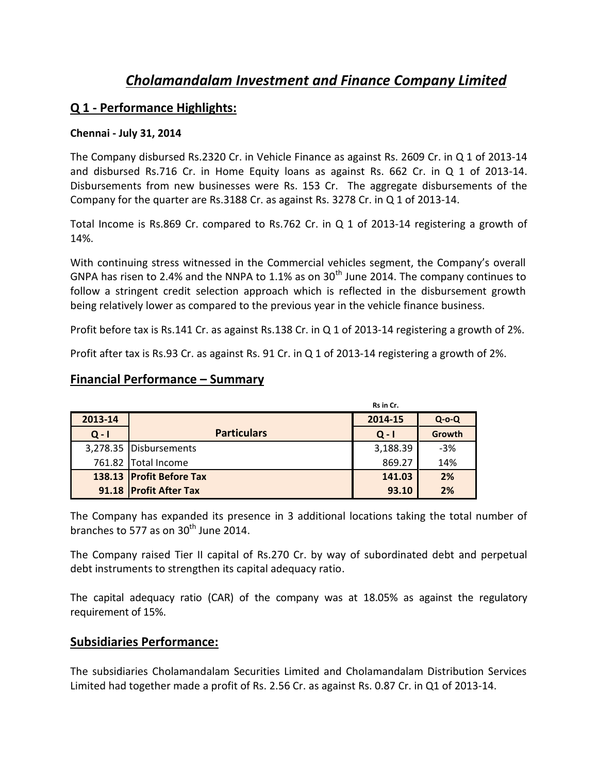# *Cholamandalam Investment and Finance Company Limited*

### **Q 1 - Performance Highlights:**

#### **Chennai - July 31, 2014**

The Company disbursed Rs.2320 Cr. in Vehicle Finance as against Rs. 2609 Cr. in Q 1 of 2013-14 and disbursed Rs.716 Cr. in Home Equity loans as against Rs. 662 Cr. in Q 1 of 2013-14. Disbursements from new businesses were Rs. 153 Cr. The aggregate disbursements of the Company for the quarter are Rs.3188 Cr. as against Rs. 3278 Cr. in Q 1 of 2013-14.

Total Income is Rs.869 Cr. compared to Rs.762 Cr. in Q 1 of 2013-14 registering a growth of 14%.

With continuing stress witnessed in the Commercial vehicles segment, the Company's overall GNPA has risen to 2.4% and the NNPA to 1.1% as on  $30<sup>th</sup>$  June 2014. The company continues to follow a stringent credit selection approach which is reflected in the disbursement growth being relatively lower as compared to the previous year in the vehicle finance business.

Profit before tax is Rs.141 Cr. as against Rs.138 Cr. in Q 1 of 2013-14 registering a growth of 2%.

Profit after tax is Rs.93 Cr. as against Rs. 91 Cr. in Q 1 of 2013-14 registering a growth of 2%.

### **Financial Performance – Summary**

|         |                          | Rs in Cr. |             |  |
|---------|--------------------------|-----------|-------------|--|
| 2013-14 |                          | 2014-15   | $Q$ -o- $Q$ |  |
| $Q - I$ | <b>Particulars</b>       | $Q - I$   | Growth      |  |
|         | 3,278.35 Disbursements   | 3,188.39  | $-3%$       |  |
|         | 761.82 Total Income      | 869.27    | 14%         |  |
|         | 138.13 Profit Before Tax | 141.03    | 2%          |  |
|         | 91.18 Profit After Tax   | 93.10     | 2%          |  |

The Company has expanded its presence in 3 additional locations taking the total number of branches to 577 as on 30<sup>th</sup> June 2014.

The Company raised Tier II capital of Rs.270 Cr. by way of subordinated debt and perpetual debt instruments to strengthen its capital adequacy ratio.

The capital adequacy ratio (CAR) of the company was at 18.05% as against the regulatory requirement of 15%.

### **Subsidiaries Performance:**

The subsidiaries Cholamandalam Securities Limited and Cholamandalam Distribution Services Limited had together made a profit of Rs. 2.56 Cr. as against Rs. 0.87 Cr. in Q1 of 2013-14.